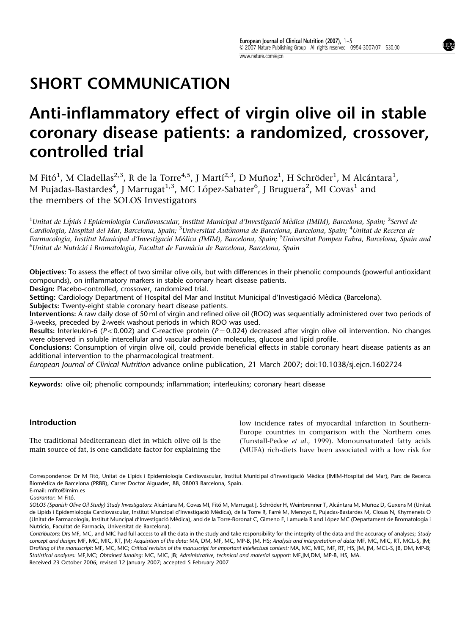# SHORT COMMUNICATION

# Anti-inflammatory effect of virgin olive oil in stable coronary disease patients: a randomized, crossover, controlled trial

M Fitó $^1$ , M Cladellas $^{2,3}$ , R de la Torre $^{4,5}$ , J Martí $^{2,3}$ , D Muñoz $^1$ , H Schröder $^1$ , M Alcántara $^1$ , M Pujadas-Bastardes<sup>4</sup>, J Marrugat<sup>1,3</sup>, MC López-Sabater<sup>6</sup>, J Bruguera<sup>2</sup>, MI Covas<sup>1</sup> and the members of the SOLOS Investigators

 $^1$ Unitat de Lípids i Epidemiologia Cardiovascular, Institut Municipal d'Investigació Mèdica (IMIM), Barcelona, Spain;  $^2$ Servei de Cardiologia, Hospital del Mar, Barcelona, Spain; <sup>3</sup>Universitat Autònoma de Barcelona, Barcelona, Spain; <sup>4</sup>Unitat de Recerca de Farmacologia, Institut Municipal d'Investigació Médica (IMIM), Barcelona, Spain; <sup>s</sup>Universitat Pompeu Fabra, Barcelona, Spain and <sup>6</sup>Unitat de Nutrició i Bromatologia, Facultat de Farmàcia de Barcelona, Barcelona, Spain

Objectives: To assess the effect of two similar olive oils, but with differences in their phenolic compounds (powerful antioxidant compounds), on inflammatory markers in stable coronary heart disease patients.

Design: Placebo-controlled, crossover, randomized trial.

Setting: Cardiology Department of Hospital del Mar and Institut Municipal d'Investigació Mèdica (Barcelona).

Subjects: Twenty-eight stable coronary heart disease patients.

Interventions: A raw daily dose of 50 ml of virgin and refined olive oil (ROO) was sequentially administered over two periods of 3-weeks, preceded by 2-week washout periods in which ROO was used.

Results: Interleukin-6 ( $P < 0.002$ ) and C-reactive protein ( $P = 0.024$ ) decreased after virgin olive oil intervention. No changes were observed in soluble intercellular and vascular adhesion molecules, glucose and lipid profile.

Conclusions: Consumption of virgin olive oil, could provide beneficial effects in stable coronary heart disease patients as an additional intervention to the pharmacological treatment.

European Journal of Clinical Nutrition advance online publication, 21 March 2007; doi:10.1038/sj.ejcn.1602724

Keywords: olive oil; phenolic compounds; inflammation; interleukins; coronary heart disease

#### Introduction

The traditional Mediterranean diet in which olive oil is the main source of fat, is one candidate factor for explaining the low incidence rates of myocardial infarction in Southern-Europe countries in comparison with the Northern ones (Tunstall-Pedoe et al., 1999). Monounsaturated fatty acids (MUFA) rich-diets have been associated with a low risk for

Correspondence: Dr M Fitó, Unitat de Lípids i Epidemiologia Cardiovascular, Institut Municipal d'Investigació Mèdica (IMIM-Hospital del Mar), Parc de Recerca Biome`dica de Barcelona (PRBB), Carrer Doctor Aiguader, 88, 08003 Barcelona, Spain. E-mail: mfito@imim.es

Guarantor: M Fitó.

SOLOS (Spanish Olive Oil Study) Study Investigators: Alcántara M, Covas MI, Fitó M, Marrugat J, Schröder H, Weinbrenner T, Alcántara M, Muñoz D, Guxens M (Unitat de Lipids i Epidemiologia Cardiovascular, Institut Muncipal d'Investigació Mèdica), de la Torre R, Farré M, Menoyo E, Pujadas-Bastardes M, Closas N, Khymenets O (Unitat de Farmacologia, Institut Muncipal d'Investigació Mèdica), and de la Torre-Boronat C, Gimeno E, Lamuela R and López MC (Departament de Bromatologia i Nutricio, Facultat de Farmacia, Universitat de Barcelona).

Received 23 October 2006; revised 12 January 2007; accepted 5 February 2007 Contributors: Drs MF, MC, and MIC had full access to all the data in the study and take responsibility for the integrity of the data and the accuracy of analyses; Study concept and design: MF, MC, MIC, RT, JM; Acquisition of the data: MA, DM, MF, MC, MP-B, JM, HS; Analysis and interpretation of data: MF, MC, MIC, RT, MCL-S, JM; Drafting of the manuscript: MF, MC, MIC; Critical revision of the manuscript for important intellectual content: MA, MC, MIC, MF, RT, HS, JM, JM, MCL-S, JB, DM, MP-B; Statistical analyses: MF,MC; Obtained funding: MC, MIC, JB; Administrative, technical and material support: MF,JM,DM, MP-B, HS, MA.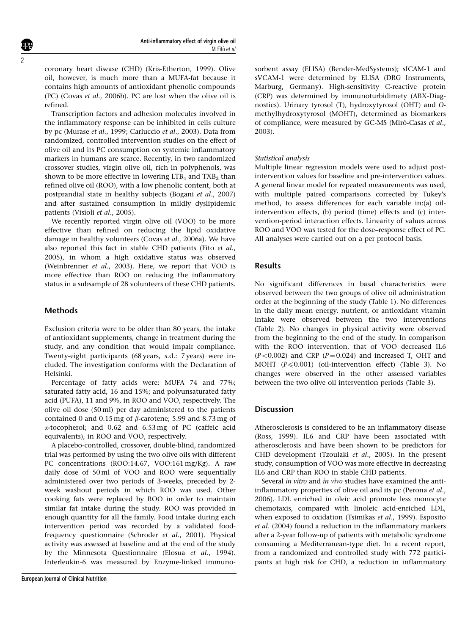coronary heart disease (CHD) (Kris-Etherton, 1999). Olive oil, however, is much more than a MUFA-fat because it contains high amounts of antioxidant phenolic compounds (PC) (Covas et al., 2006b). PC are lost when the olive oil is refined.

Transcription factors and adhesion molecules involved in the inflammatory response can be inhibited in cells culture by pc (Murase et al., 1999; Carluccio et al., 2003). Data from randomized, controlled intervention studies on the effect of olive oil and its PC consumption on systemic inflammatory markers in humans are scarce. Recently, in two randomized crossover studies, virgin olive oil, rich in polyphenols, was shown to be more effective in lowering  $LTB<sub>4</sub>$  and  $TXB<sub>2</sub>$  than refined olive oil (ROO), with a low phenolic content, both at postprandial state in healthy subjects (Bogani et al., 2007) and after sustained consumption in mildly dyslipidemic patients (Visioli et al., 2005).

We recently reported virgin olive oil (VOO) to be more effective than refined on reducing the lipid oxidative damage in healthy volunteers (Covas et al., 2006a). We have also reported this fact in stable CHD patients (Fito et al., 2005), in whom a high oxidative status was observed (Weinbrenner et al., 2003). Here, we report that VOO is more effective than ROO on reducing the inflammatory status in a subsample of 28 volunteers of these CHD patients.

## Methods

Exclusion criteria were to be older than 80 years, the intake of antioxidant supplements, change in treatment during the study, and any condition that would impair compliance. Twenty-eight participants (68 years, s.d.: 7 years) were included. The investigation conforms with the Declaration of Helsinki.

Percentage of fatty acids were: MUFA 74 and 77%; saturated fatty acid, 16 and 15%; and polyunsaturated fatty acid (PUFA), 11 and 9%, in ROO and VOO, respectively. The olive oil dose (50 ml) per day administered to the patients contained 0 and 0.15 mg of  $\beta$ -carotene; 5.99 and 8.73 mg of a-tocopherol; and 0.62 and 6.53 mg of PC (caffeic acid equivalents), in ROO and VOO, respectively.

A placebo-controlled, crossover, double-blind, randomized trial was performed by using the two olive oils with different PC concentrations (ROO:14.67, VOO:161 mg/Kg). A raw daily dose of 50 ml of VOO and ROO were sequentially administered over two periods of 3-weeks, preceded by 2 week washout periods in which ROO was used. Other cooking fats were replaced by ROO in order to maintain similar fat intake during the study. ROO was provided in enough quantity for all the family. Food intake during each intervention period was recorded by a validated foodfrequency questionnaire (Schroder et al., 2001). Physical activity was assessed at baseline and at the end of the study by the Minnesota Questionnaire (Elosua et al., 1994). Interleukin-6 was measured by Enzyme-linked immunosorbent assay (ELISA) (Bender-MedSystems); sICAM-1 and sVCAM-1 were determined by ELISA (DRG Instruments, Marburg, Germany). High-sensitivity C-reactive protein (CRP) was determined by immunoturbidimety (ABX-Diagnostics). Urinary tyrosol (T), hydroxytyrosol (OHT) and Omethylhydroxytyrosol (MOHT), determined as biomarkers of compliance, were measured by GC-MS (Miró-Casas et al., 2003).

#### Statistical analysis

Multiple linear regression models were used to adjust postintervention values for baseline and pre-intervention values. A general linear model for repeated measurements was used, with multiple paired comparisons corrected by Tukey's method, to assess differences for each variable in:(a) oilintervention effects, (b) period (time) effects and (c) intervention-period interaction effects. Linearity of values across ROO and VOO was tested for the dose–response effect of PC. All analyses were carried out on a per protocol basis.

#### Results

No significant differences in basal characteristics were observed between the two groups of olive oil administration order at the beginning of the study (Table 1). No differences in the daily mean energy, nutrient, or antioxidant vitamin intake were observed between the two interventions (Table 2). No changes in physical activity were observed from the beginning to the end of the study. In comparison with the ROO intervention, that of VOO decreased IL6  $(P<0.002)$  and CRP  $(P=0.024)$  and increased T, OHT and MOHT  $(P \le 0.001)$  (oil-intervention effect) (Table 3). No changes were observed in the other assessed variables between the two olive oil intervention periods (Table 3).

### Discussion

Atherosclerosis is considered to be an inflammatory disease (Ross, 1999). IL6 and CRP have been associated with atherosclerosis and have been shown to be predictors for CHD development (Tzoulaki et al., 2005). In the present study, consumption of VOO was more effective in decreasing IL6 and CRP than ROO in stable CHD patients.

Several in vitro and in vivo studies have examined the antiinflammatory properties of olive oil and its pc (Perona et al., 2006). LDL enriched in oleic acid promote less monocyte chemotaxis, compared with linoleic acid-enriched LDL, when exposed to oxidation (Tsimikas et al., 1999). Esposito et al. (2004) found a reduction in the inflammatory markers after a 2-year follow-up of patients with metabolic syndrome consuming a Mediterranean-type diet. In a recent report, from a randomized and controlled study with 772 participants at high risk for CHD, a reduction in inflammatory

2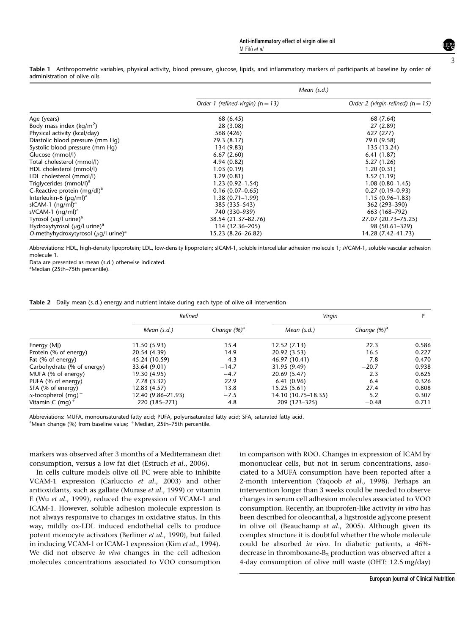Table 1 Anthropometric variables, physical activity, blood pressure, glucose, lipids, and inflammatory markers of participants at baseline by order of administration of olive oils

|                                                       | Mean $(s.d.)$                         |                                       |  |  |  |
|-------------------------------------------------------|---------------------------------------|---------------------------------------|--|--|--|
|                                                       | Order 1 (refined-virgin) ( $n = 13$ ) | Order 2 (virgin-refined) ( $n = 15$ ) |  |  |  |
| Age (years)                                           | 68 (6.45)                             | 68 (7.64)                             |  |  |  |
| Body mass index ( $\text{kg/m}^2$ )                   | 28 (3.08)                             | 27 (2.89)                             |  |  |  |
| Physical activity (kcal/day)                          | 568 (426)                             | 627 (277)                             |  |  |  |
| Diastolic blood pressure (mm Hq)                      | 79.3 (8.17)                           | 79.0 (9.58)                           |  |  |  |
| Systolic blood pressure (mm Hq)                       | 134 (9.83)                            | 135 (13.24)                           |  |  |  |
| Glucose (mmol/l)                                      | 6.67(2.60)                            | 6.41(1.87)                            |  |  |  |
| Total cholesterol (mmol/l)                            | 4.94 (0.82)                           | 5.27(1.26)                            |  |  |  |
| HDL cholesterol (mmol/l)                              | 1.03(0.19)                            | 1.20(0.31)                            |  |  |  |
| LDL cholesterol (mmol/l)                              | 3.29(0.81)                            | 3.52(1.19)                            |  |  |  |
| Triglycerides (mmol/l) <sup>a</sup>                   | $1.23(0.92 - 1.54)$                   | $1.08(0.80-1.45)$                     |  |  |  |
| C-Reactive protein (mg/dl) <sup>a</sup>               | $0.16(0.07-0.65)$                     | $0.27(0.19-0.93)$                     |  |  |  |
| Interleukin-6 $(pq/ml)^a$                             | $1.38(0.71 - 1.99)$                   | $1.15(0.96 - 1.83)$                   |  |  |  |
| sICAM-1 $(nq/ml)^a$                                   | 385 (335-543)                         | 362 (293-390)                         |  |  |  |
| sVCAM-1 $(nq/ml)^a$                                   | 740 (330–939)                         | 663 (168–792)                         |  |  |  |
| Tyrosol ( $\mu$ g/l urine) <sup>a</sup>               | 38.54 (21.37-82.76)                   | 27.07 (20.73-75.25)                   |  |  |  |
| Hydroxytyrosol ( $\mu$ g/l urine) <sup>a</sup>        | 114 (32.36-205)                       | 98 (50.61-329)                        |  |  |  |
| O-methyhydroxytyrosol ( $\mu$ q/l urine) <sup>a</sup> | 15.23 (8.26–26.82)                    | 14.28 (7.42–41.73)                    |  |  |  |

Abbreviations: HDL, high-density lipoprotein; LDL, low-density lipoprotein; sICAM-1, soluble intercellular adhesion molecule 1; sVCAM-1, soluble vascular adhesion molecule 1.

Data are presented as mean (s.d.) otherwise indicated.

<sup>a</sup>Median (25th-75th percentile).

|  | Table 2 Daily mean (s.d.) energy and nutrient intake during each type of olive oil intervention |  |  |  |  |  |  |  |  |  |  |  |  |  |
|--|-------------------------------------------------------------------------------------------------|--|--|--|--|--|--|--|--|--|--|--|--|--|
|--|-------------------------------------------------------------------------------------------------|--|--|--|--|--|--|--|--|--|--|--|--|--|

|                                        | Refined            |                | Virgin              | D              |       |
|----------------------------------------|--------------------|----------------|---------------------|----------------|-------|
|                                        | Mean $(s.d.)$      | Change $(%)^a$ | Mean $(s.d.)$       | Change $(%)^a$ |       |
| Energy (MJ)                            | 11.50(5.93)        | 15.4           | 12.52(7.13)         | 22.3           | 0.586 |
| Protein (% of energy)                  | 20.54 (4.39)       | 14.9           | 20.92 (3.53)        | 16.5           | 0.227 |
| Fat (% of energy)                      | 45.24 (10.59)      | 4.3            | 46.97 (10.41)       | 7.8            | 0.470 |
| Carbohydrate (% of energy)             | 33.64 (9.01)       | $-14.7$        | 31.95 (9.49)        | $-20.7$        | 0.938 |
| MUFA (% of energy)                     | 19.30 (4.95)       | $-4.7$         | 20.69 (5.47)        | 2.3            | 0.625 |
| PUFA (% of energy)                     | 7.78(3.32)         | 22.9           | 6.41(0.96)          | 6.4            | 0.326 |
| SFA (% of energy)                      | 12.83 (4.57)       | 13.8           | 15.25(5.61)         | 27.4           | 0.808 |
| $\alpha$ -tocopherol (mq) <sup>+</sup> | 12.40 (9.86–21.93) | $-7.5$         | 14.10 (10.75–18.35) | 5.2            | 0.307 |
| Vitamin C (mg) <sup>+</sup>            | 220 (185-271)      | 4.8            | 209 (123-325)       | $-0.48$        | 0.711 |

Abbreviations: MUFA, monounsaturated fatty acid; PUFA, polyunsaturated fatty acid; SFA, saturated fatty acid. <sup>a</sup>Mean change (%) from baseline value; <sup>+</sup>Median, 25th–75th percentile.

markers was observed after 3 months of a Mediterranean diet consumption, versus a low fat diet (Estruch et al., 2006).

In cells culture models olive oil PC were able to inhibite VCAM-1 expression (Carluccio et al., 2003) and other antioxidants, such as gallate (Murase et al., 1999) or vitamin E (Wu et al., 1999), reduced the expression of VCAM-1 and ICAM-1. However, soluble adhesion molecule expression is not always responsive to changes in oxidative status. In this way, mildly ox-LDL induced endothelial cells to produce potent monocyte activators (Berliner et al., 1990), but failed in inducing VCAM-1 or ICAM-1 expression (Kim et al., 1994). We did not observe in vivo changes in the cell adhesion molecules concentrations associated to VOO consumption in comparison with ROO. Changes in expression of ICAM by mononuclear cells, but not in serum concentrations, associated to a MUFA consumption have been reported after a 2-month intervention (Yaqoob et al., 1998). Perhaps an intervention longer than 3 weeks could be needed to observe changes in serum cell adhesion molecules associated to VOO consumption. Recently, an ibuprofen-like activity in vitro has been described for oleocanthal, a ligstroside aglycone present in olive oil (Beauchamp et al., 2005). Although given its complex structure it is doubtful whether the whole molecule could be absorbed in vivo. In diabetic patients, a 46% decrease in thromboxane-B2 production was observed after a 4-day consumption of olive mill waste (OHT: 12.5 mg/day)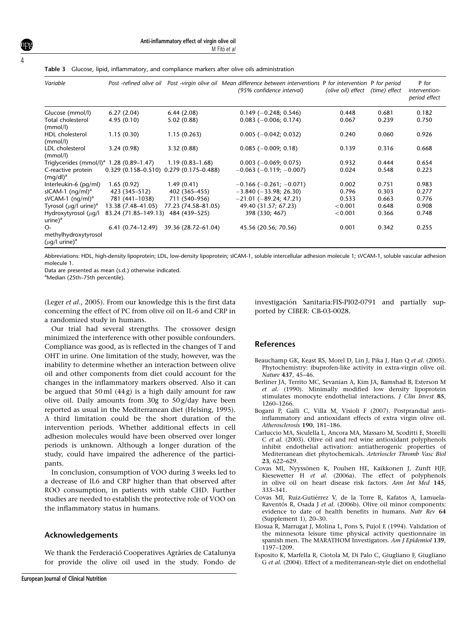| Variable                                                  |                                             |                     | Post -refined olive oil Post -virgin olive oil Mean difference between interventions P for intervention P for period<br>(95% confidence interval) | (olive oil) effect | (time) effect | P for<br>intervention-<br>period effect |
|-----------------------------------------------------------|---------------------------------------------|---------------------|---------------------------------------------------------------------------------------------------------------------------------------------------|--------------------|---------------|-----------------------------------------|
| Glucose (mmol/l)                                          | 6.27(2.04)                                  | 6.44(2.08)          | $0.149(-0.248; 0.546)$                                                                                                                            | 0.448              | 0.681         | 0.182                                   |
| Total cholesterol<br>(mmol/l)                             | 4.95(0.10)                                  | 5.02(0.88)          | $0.083$ (-0.006; 0.174)                                                                                                                           | 0.067              | 0.239         | 0.750                                   |
| <b>HDL</b> cholesterol<br>(mmol/l)                        | 1.15(0.30)                                  | 1.15(0.263)         | $0.005 (-0.042; 0.032)$                                                                                                                           | 0.240              | 0.060         | 0.926                                   |
| LDL cholesterol<br>(mmol/l)                               | 3.24(0.98)                                  | 3.32(0.88)          | $0.085$ (-0.009; 0.18)                                                                                                                            | 0.139              | 0.316         | 0.668                                   |
| Triglycerides (mmol/l) <sup>a</sup> 1.28 (0.89–1.47)      |                                             | $1.19(0.83 - 1.68)$ | $0.003$ (-0.069; 0.075)                                                                                                                           | 0.932              | 0.444         | 0.654                                   |
| C-reactive protein<br>$(mq/dl)^a$                         | $0.329(0.158 - 0.510) 0.279(0.175 - 0.488)$ |                     | $-0.063$ ( $-0.119$ ; $-0.007$ )                                                                                                                  | 0.024              | 0.548         | 0.223                                   |
| Interleukin-6 (pg/ml)                                     | 1.65(0.92)                                  | 1.49(0.41)          | $-0.166$ ( $-0.261$ ; $-0.071$ )                                                                                                                  | 0.002              | 0.751         | 0.983                                   |
| sICAM-1 $(nq/ml)^a$                                       | 423 (345–512)                               | 402 (365–455)       | $-3.840$ ( $-33.98$ ; 26.30)                                                                                                                      | 0.796              | 0.303         | 0.277                                   |
| sVCAM-1 $(nq/ml)^a$                                       | 781 (441-1038)                              | 711 (540-956)       | $-21.01$ ( $-89.24$ ; 47.21)                                                                                                                      | 0.533              | 0.663         | 0.776                                   |
| Tyrosol ( $\mu$ g/l urine) <sup>a</sup>                   | 13.38 (7.48–41.05)                          | 77.23 (74.58-81.05) | 49.40 (31.57; 67.23)                                                                                                                              | < 0.001            | 0.648         | 0.908                                   |
| Hydroxytyrosol $(\mu q)$<br>$urine)^a$                    | 83.24 (71.85–149.13)                        | 484 (439–525)       | 398 (330; 467)                                                                                                                                    | < 0.001            | 0.366         | 0.748                                   |
| O-<br>methylhydroxytyrosol<br>$(\mu q/l \text{ urine})^a$ | $6.41(0.74 - 12.49)$                        | 39.36 (28.72-61.04) | 45.56 (20.56; 70.56)                                                                                                                              | 0.001              | 0.342         | 0.255                                   |

Abbreviations: HDL, high-density lipoprotein; LDL, low-density lipoprotein; sICAM-1, soluble intercellular adhesion molecule 1; sVCAM-1, soluble vascular adhesion molecule 1.

Data are presented as mean (s.d.) otherwise indicated.

<sup>a</sup>Median (25th-75th percentile).

(Leger et al., 2005). From our knowledge this is the first data concerning the effect of PC from olive oil on IL-6 and CRP in a randomized study in humans.

Our trial had several strengths. The crossover design minimized the interference with other possible confounders. Compliance was good, as is reflected in the changes of T and OHT in urine. One limitation of the study, however, was the inability to determine whether an interaction between olive oil and other components from diet could account for the changes in the inflammatory markers observed. Also it can be argued that  $50 \text{ ml}$  (44 g) is a high daily amount for raw olive oil. Daily amounts from 30g to 50 g/day have been reported as usual in the Mediterranean diet (Helsing, 1995). A third limitation could be the short duration of the intervention periods. Whether additional effects in cell adhesion molecules would have been observed over longer periods is unknown. Although a longer duration of the study, could have impaired the adherence of the participants.

In conclusion, consumption of VOO during 3 weeks led to a decrease of IL6 and CRP higher than that observed after ROO consumption, in patients with stable CHD. Further studies are needed to establish the protective role of VOO on the inflammatory status in humans.

#### Acknowledgements

We thank the Ferderació Cooperatives Agràries de Catalunya for provide the olive oil used in the study. Fondo de

investigación Sanitaria:FIS-PI02-0791 and partially supported by CIBER: CB-03-0028.

#### References

- Beauchamp GK, Keast RS, Morel D, Lin J, Pika J, Han Q et al. (2005). Phytochemistry: ibuprofen-like activity in extra-virgin olive oil. Nature 437, 45–46.
- Berliner JA, Territo MC, Sevanian A, Kim JA, Bamshad B, Esterson M et al. (1990). Minimally modified low density lipoprotein stimulates monocyte endothelial interactions. J Clin Invest 85, 1260–1266.
- Bogani P, Galli C, Villa M, Visioli F (2007). Postprandial antiinflammatory and antioxidant effects of extra virgin olive oil. Atherosclerosis 190, 181–186.
- Carluccio MA, Siculella L, Ancora MA, Massaro M, Scoditti E, Storelli C et al. (2003). Olive oil and red wine antioxidant polyphenols inhibit endothelial activation: antiatherogenic properties of Mediterranean diet phytochemicals. Arterioscler Thromb Vasc Biol 23, 622–629.
- Covas MI, Nyyssönen K, Poulsen HE, Kaikkonen J, Zunft HJF, Kiesewetter H et al. (2006a). The effect of polyphenols in olive oil on heart disease risk factors. Ann Int Med 145, 333–341.
- Covas MI, Ruiz-Gutiérrez V, de la Torre R, Kafatos A, Lamuela-Raventós R, Osada J et al. (2006b). Olive oil minor components: evidence to date of health benefits in humans. Nutr Rev 64 (Supplement 1), 20–30.
- Elosua R, Marrugat J, Molina L, Pons S, Pujol E (1994). Validation of the minnesota leisure time physical activity questionnaire in spanish men. The MARATHOM Investigators. Am J Epidemiol 139, 1197–1209.
- Esposito K, Marfella R, Ciotola M, Di Palo C, Giugliano F, Giugliano G et al. (2004). Effect of a mediterranean-style diet on endothelial